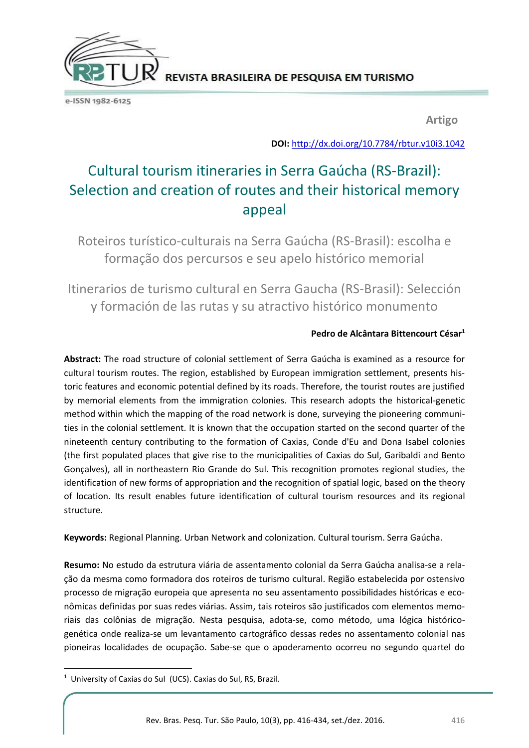REVISTA BRASILEIRA DE PESQUISA EM TURISMO

e-ISSN 1982-6125

**Artigo**

**DOI:** <http://dx.doi.org/10.7784/rbtur.v10i3.1042>

# Cultural tourism itineraries in Serra Gaúcha (RS-Brazil): Selection and creation of routes and their historical memory appeal

Roteiros turístico-culturais na Serra Gaúcha (RS-Brasil): escolha e formação dos percursos e seu apelo histórico memorial

Itinerarios de turismo cultural en Serra Gaucha (RS-Brasil): Selección y formación de las rutas y su atractivo histórico monumento

#### **Pedro de Alcântara Bittencourt César<sup>1</sup>**

**Abstract:** The road structure of colonial settlement of Serra Gaúcha is examined as a resource for cultural tourism routes. The region, established by European immigration settlement, presents historic features and economic potential defined by its roads. Therefore, the tourist routes are justified by memorial elements from the immigration colonies. This research adopts the historical-genetic method within which the mapping of the road network is done, surveying the pioneering communities in the colonial settlement. It is known that the occupation started on the second quarter of the nineteenth century contributing to the formation of Caxias, Conde d'Eu and Dona Isabel colonies (the first populated places that give rise to the municipalities of Caxias do Sul, Garibaldi and Bento Gonçalves), all in northeastern Rio Grande do Sul. This recognition promotes regional studies, the identification of new forms of appropriation and the recognition of spatial logic, based on the theory of location. Its result enables future identification of cultural tourism resources and its regional structure.

**Keywords:** Regional Planning. Urban Network and colonization. Cultural tourism. Serra Gaúcha.

**Resumo:** No estudo da estrutura viária de assentamento colonial da Serra Gaúcha analisa-se a relação da mesma como formadora dos roteiros de turismo cultural. Região estabelecida por ostensivo processo de migração europeia que apresenta no seu assentamento possibilidades históricas e econômicas definidas por suas redes viárias. Assim, tais roteiros são justificados com elementos memoriais das colônias de migração. Nesta pesquisa, adota-se, como método, uma lógica históricogenética onde realiza-se um levantamento cartográfico dessas redes no assentamento colonial nas pioneiras localidades de ocupação. Sabe-se que o apoderamento ocorreu no segundo quartel do

**.** 

<sup>&</sup>lt;sup>1</sup> University of Caxias do Sul (UCS). Caxias do Sul, RS, Brazil.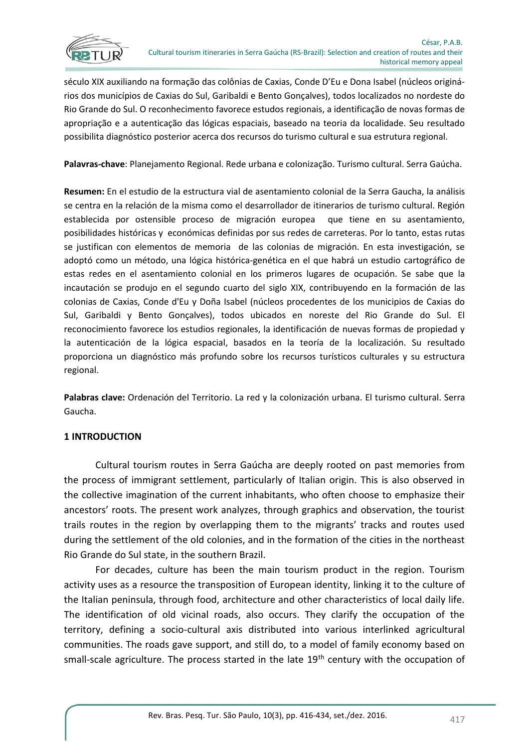

século XIX auxiliando na formação das colônias de Caxias, Conde D'Eu e Dona Isabel (núcleos originários dos municípios de Caxias do Sul, Garibaldi e Bento Gonçalves), todos localizados no nordeste do Rio Grande do Sul. O reconhecimento favorece estudos regionais, a identificação de novas formas de apropriação e a autenticação das lógicas espaciais, baseado na teoria da localidade. Seu resultado possibilita diagnóstico posterior acerca dos recursos do turismo cultural e sua estrutura regional.

**Palavras-chave**: Planejamento Regional. Rede urbana e colonização. Turismo cultural. Serra Gaúcha.

**Resumen:** En el estudio de la estructura vial de asentamiento colonial de la Serra Gaucha, la análisis se centra en la relación de la misma como el desarrollador de itinerarios de turismo cultural. Región establecida por ostensible proceso de migración europea que tiene en su asentamiento, posibilidades históricas y económicas definidas por sus redes de carreteras. Por lo tanto, estas rutas se justifican con elementos de memoria de las colonias de migración. En esta investigación, se adoptó como un método, una lógica histórica-genética en el que habrá un estudio cartográfico de estas redes en el asentamiento colonial en los primeros lugares de ocupación. Se sabe que la incautación se produjo en el segundo cuarto del siglo XIX, contribuyendo en la formación de las colonias de Caxias, Conde d'Eu y Doña Isabel (núcleos procedentes de los municipios de Caxias do Sul, Garibaldi y Bento Gonçalves), todos ubicados en noreste del Rio Grande do Sul. El reconocimiento favorece los estudios regionales, la identificación de nuevas formas de propiedad y la autenticación de la lógica espacial, basados en la teoría de la localización. Su resultado proporciona un diagnóstico más profundo sobre los recursos turísticos culturales y su estructura regional.

**Palabras clave:** Ordenación del Territorio. La red y la colonización urbana. El turismo cultural. Serra Gaucha.

# **1 INTRODUCTION**

Cultural tourism routes in Serra Gaúcha are deeply rooted on past memories from the process of immigrant settlement, particularly of Italian origin. This is also observed in the collective imagination of the current inhabitants, who often choose to emphasize their ancestors' roots. The present work analyzes, through graphics and observation, the tourist trails routes in the region by overlapping them to the migrants' tracks and routes used during the settlement of the old colonies, and in the formation of the cities in the northeast Rio Grande do Sul state, in the southern Brazil.

For decades, culture has been the main tourism product in the region. Tourism activity uses as a resource the transposition of European identity, linking it to the culture of the Italian peninsula, through food, architecture and other characteristics of local daily life. The identification of old vicinal roads, also occurs. They clarify the occupation of the territory, defining a socio-cultural axis distributed into various interlinked agricultural communities. The roads gave support, and still do, to a model of family economy based on small-scale agriculture. The process started in the late 19<sup>th</sup> century with the occupation of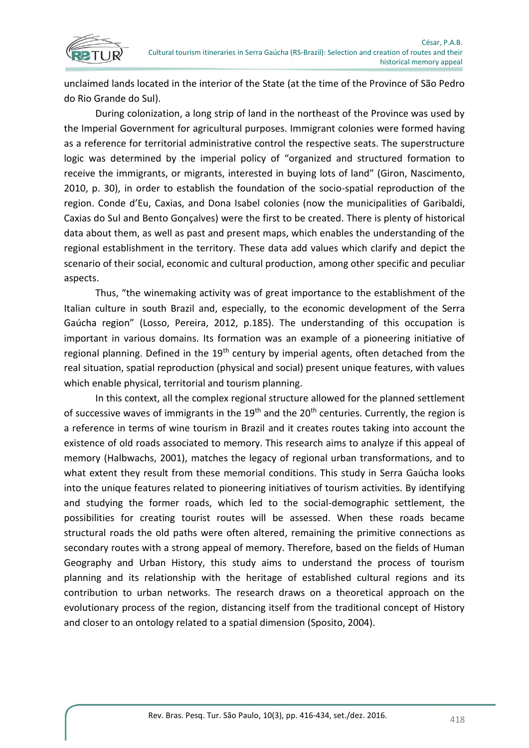

unclaimed lands located in the interior of the State (at the time of the Province of São Pedro do Rio Grande do Sul).

During colonization, a long strip of land in the northeast of the Province was used by the Imperial Government for agricultural purposes. Immigrant colonies were formed having as a reference for territorial administrative control the respective seats. The superstructure logic was determined by the imperial policy of "organized and structured formation to receive the immigrants, or migrants, interested in buying lots of land" (Giron, Nascimento, 2010, p. 30), in order to establish the foundation of the socio-spatial reproduction of the region. Conde d'Eu, Caxias, and Dona Isabel colonies (now the municipalities of Garibaldi, Caxias do Sul and Bento Gonçalves) were the first to be created. There is plenty of historical data about them, as well as past and present maps, which enables the understanding of the regional establishment in the territory. These data add values which clarify and depict the scenario of their social, economic and cultural production, among other specific and peculiar aspects.

Thus, "the winemaking activity was of great importance to the establishment of the Italian culture in south Brazil and, especially, to the economic development of the Serra Gaúcha region" (Losso, Pereira, 2012, p.185). The understanding of this occupation is important in various domains. Its formation was an example of a pioneering initiative of regional planning. Defined in the 19<sup>th</sup> century by imperial agents, often detached from the real situation, spatial reproduction (physical and social) present unique features, with values which enable physical, territorial and tourism planning.

In this context, all the complex regional structure allowed for the planned settlement of successive waves of immigrants in the 19<sup>th</sup> and the 20<sup>th</sup> centuries. Currently, the region is a reference in terms of wine tourism in Brazil and it creates routes taking into account the existence of old roads associated to memory. This research aims to analyze if this appeal of memory (Halbwachs, 2001), matches the legacy of regional urban transformations, and to what extent they result from these memorial conditions. This study in Serra Gaúcha looks into the unique features related to pioneering initiatives of tourism activities. By identifying and studying the former roads, which led to the social-demographic settlement, the possibilities for creating tourist routes will be assessed. When these roads became structural roads the old paths were often altered, remaining the primitive connections as secondary routes with a strong appeal of memory. Therefore, based on the fields of Human Geography and Urban History, this study aims to understand the process of tourism planning and its relationship with the heritage of established cultural regions and its contribution to urban networks. The research draws on a theoretical approach on the evolutionary process of the region, distancing itself from the traditional concept of History and closer to an ontology related to a spatial dimension (Sposito, 2004).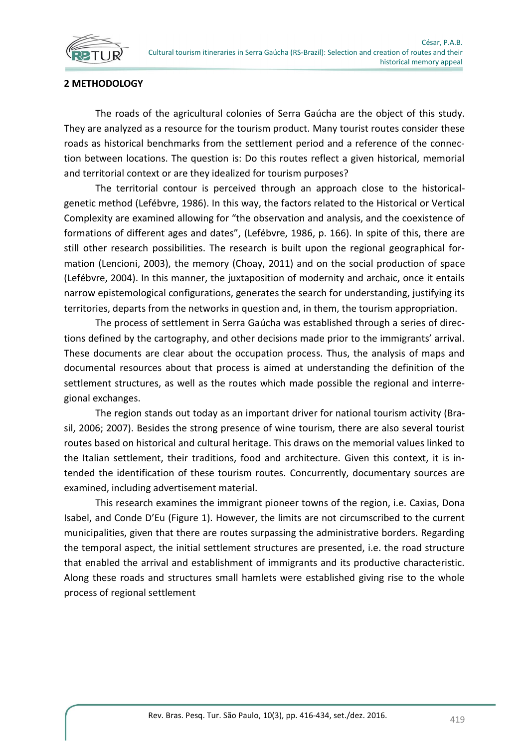

#### **2 METHODOLOGY**

The roads of the agricultural colonies of Serra Gaúcha are the object of this study. They are analyzed as a resource for the tourism product. Many tourist routes consider these roads as historical benchmarks from the settlement period and a reference of the connection between locations. The question is: Do this routes reflect a given historical, memorial and territorial context or are they idealized for tourism purposes?

The territorial contour is perceived through an approach close to the historicalgenetic method (Lefébvre, 1986). In this way, the factors related to the Historical or Vertical Complexity are examined allowing for "the observation and analysis, and the coexistence of formations of different ages and dates", (Lefébvre, 1986, p. 166). In spite of this, there are still other research possibilities. The research is built upon the regional geographical formation (Lencioni, 2003), the memory (Choay, 2011) and on the social production of space (Lefébvre, 2004). In this manner, the juxtaposition of modernity and archaic, once it entails narrow epistemological configurations, generates the search for understanding, justifying its territories, departs from the networks in question and, in them, the tourism appropriation.

The process of settlement in Serra Gaúcha was established through a series of directions defined by the cartography, and other decisions made prior to the immigrants' arrival. These documents are clear about the occupation process. Thus, the analysis of maps and documental resources about that process is aimed at understanding the definition of the settlement structures, as well as the routes which made possible the regional and interregional exchanges.

The region stands out today as an important driver for national tourism activity (Brasil, 2006; 2007). Besides the strong presence of wine tourism, there are also several tourist routes based on historical and cultural heritage. This draws on the memorial values linked to the Italian settlement, their traditions, food and architecture. Given this context, it is intended the identification of these tourism routes. Concurrently, documentary sources are examined, including advertisement material.

This research examines the immigrant pioneer towns of the region, i.e. Caxias, Dona Isabel, and Conde D'Eu (Figure 1). However, the limits are not circumscribed to the current municipalities, given that there are routes surpassing the administrative borders. Regarding the temporal aspect, the initial settlement structures are presented, i.e. the road structure that enabled the arrival and establishment of immigrants and its productive characteristic. Along these roads and structures small hamlets were established giving rise to the whole process of regional settlement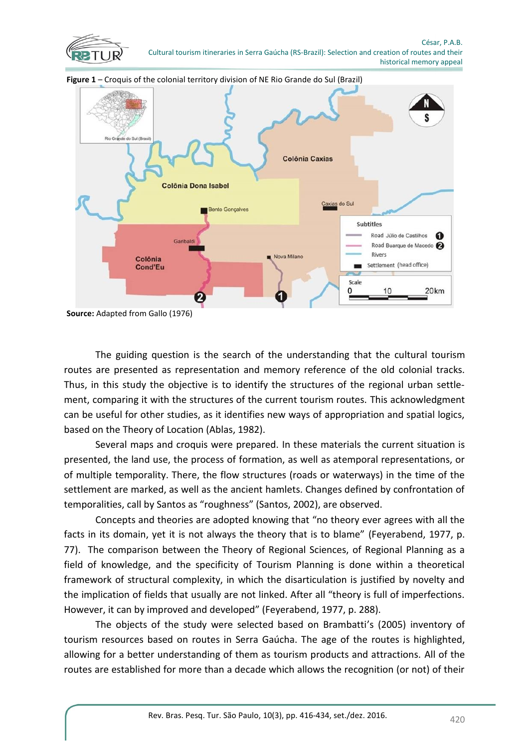



**Figure 1** – Croquis of the colonial territory division of NE Rio Grande do Sul (Brazil)

**Source:** Adapted from Gallo (1976)

The guiding question is the search of the understanding that the cultural tourism routes are presented as representation and memory reference of the old colonial tracks. Thus, in this study the objective is to identify the structures of the regional urban settlement, comparing it with the structures of the current tourism routes. This acknowledgment can be useful for other studies, as it identifies new ways of appropriation and spatial logics, based on the Theory of Location (Ablas, 1982).

Several maps and croquis were prepared. In these materials the current situation is presented, the land use, the process of formation, as well as atemporal representations, or of multiple temporality. There, the flow structures (roads or waterways) in the time of the settlement are marked, as well as the ancient hamlets. Changes defined by confrontation of temporalities, call by Santos as "roughness" (Santos, 2002), are observed.

Concepts and theories are adopted knowing that "no theory ever agrees with all the facts in its domain, yet it is not always the theory that is to blame" (Feyerabend, 1977, p. 77). The comparison between the Theory of Regional Sciences, of Regional Planning as a field of knowledge, and the specificity of Tourism Planning is done within a theoretical framework of structural complexity, in which the disarticulation is justified by novelty and the implication of fields that usually are not linked. After all "theory is full of imperfections. However, it can by improved and developed" (Feyerabend, 1977, p. 288).

The objects of the study were selected based on Brambatti's (2005) inventory of tourism resources based on routes in Serra Gaúcha. The age of the routes is highlighted, allowing for a better understanding of them as tourism products and attractions. All of the routes are established for more than a decade which allows the recognition (or not) of their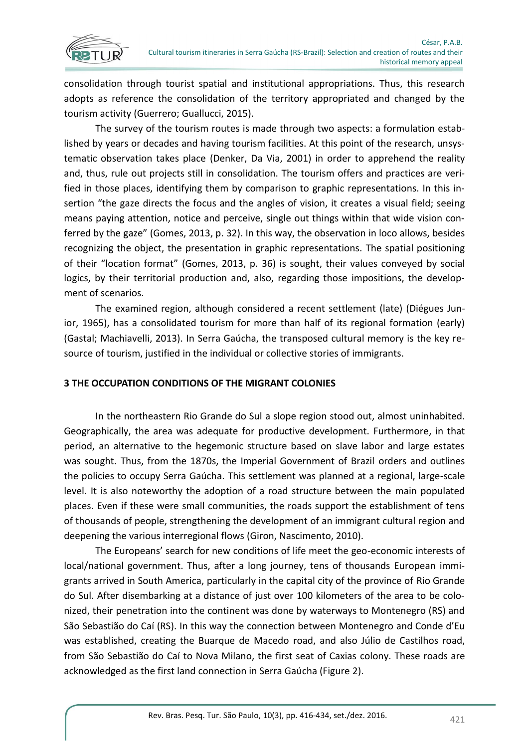

consolidation through tourist spatial and institutional appropriations. Thus, this research adopts as reference the consolidation of the territory appropriated and changed by the tourism activity (Guerrero; Guallucci, 2015).

The survey of the tourism routes is made through two aspects: a formulation established by years or decades and having tourism facilities. At this point of the research, unsystematic observation takes place (Denker, Da Via, 2001) in order to apprehend the reality and, thus, rule out projects still in consolidation. The tourism offers and practices are verified in those places, identifying them by comparison to graphic representations. In this insertion "the gaze directs the focus and the angles of vision, it creates a visual field; seeing means paying attention, notice and perceive, single out things within that wide vision conferred by the gaze" (Gomes, 2013, p. 32). In this way, the observation in loco allows, besides recognizing the object, the presentation in graphic representations. The spatial positioning of their "location format" (Gomes, 2013, p. 36) is sought, their values conveyed by social logics, by their territorial production and, also, regarding those impositions, the development of scenarios.

The examined region, although considered a recent settlement (late) (Diégues Junior, 1965), has a consolidated tourism for more than half of its regional formation (early) (Gastal; Machiavelli, 2013). In Serra Gaúcha, the transposed cultural memory is the key resource of tourism, justified in the individual or collective stories of immigrants.

# **3 THE OCCUPATION CONDITIONS OF THE MIGRANT COLONIES**

In the northeastern Rio Grande do Sul a slope region stood out, almost uninhabited. Geographically, the area was adequate for productive development. Furthermore, in that period, an alternative to the hegemonic structure based on slave labor and large estates was sought. Thus, from the 1870s, the Imperial Government of Brazil orders and outlines the policies to occupy Serra Gaúcha. This settlement was planned at a regional, large-scale level. It is also noteworthy the adoption of a road structure between the main populated places. Even if these were small communities, the roads support the establishment of tens of thousands of people, strengthening the development of an immigrant cultural region and deepening the various interregional flows (Giron, Nascimento, 2010).

The Europeans' search for new conditions of life meet the geo-economic interests of local/national government. Thus, after a long journey, tens of thousands European immigrants arrived in South America, particularly in the capital city of the province of Rio Grande do Sul. After disembarking at a distance of just over 100 kilometers of the area to be colonized, their penetration into the continent was done by waterways to Montenegro (RS) and São Sebastião do Caí (RS). In this way the connection between Montenegro and Conde d'Eu was established, creating the Buarque de Macedo road, and also Júlio de Castilhos road, from São Sebastião do Caí to Nova Milano, the first seat of Caxias colony. These roads are acknowledged as the first land connection in Serra Gaúcha (Figure 2).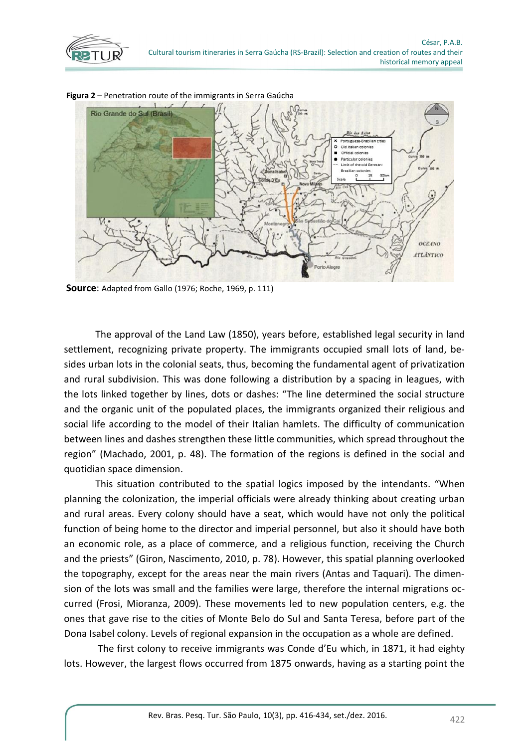



**Figura 2** – Penetration route of the immigrants in Serra Gaúcha

**Source**: Adapted from Gallo (1976; Roche, 1969, p. 111)

The approval of the Land Law (1850), years before, established legal security in land settlement, recognizing private property. The immigrants occupied small lots of land, besides urban lots in the colonial seats, thus, becoming the fundamental agent of privatization and rural subdivision. This was done following a distribution by a spacing in leagues, with the lots linked together by lines, dots or dashes: "The line determined the social structure and the organic unit of the populated places, the immigrants organized their religious and social life according to the model of their Italian hamlets. The difficulty of communication between lines and dashes strengthen these little communities, which spread throughout the region" (Machado, 2001, p. 48). The formation of the regions is defined in the social and quotidian space dimension.

This situation contributed to the spatial logics imposed by the intendants. "When planning the colonization, the imperial officials were already thinking about creating urban and rural areas. Every colony should have a seat, which would have not only the political function of being home to the director and imperial personnel, but also it should have both an economic role, as a place of commerce, and a religious function, receiving the Church and the priests" (Giron, Nascimento, 2010, p. 78). However, this spatial planning overlooked the topography, except for the areas near the main rivers (Antas and Taquari). The dimension of the lots was small and the families were large, therefore the internal migrations occurred (Frosi, Mioranza, 2009). These movements led to new population centers, e.g. the ones that gave rise to the cities of Monte Belo do Sul and Santa Teresa, before part of the Dona Isabel colony. Levels of regional expansion in the occupation as a whole are defined.

The first colony to receive immigrants was Conde d'Eu which, in 1871, it had eighty lots. However, the largest flows occurred from 1875 onwards, having as a starting point the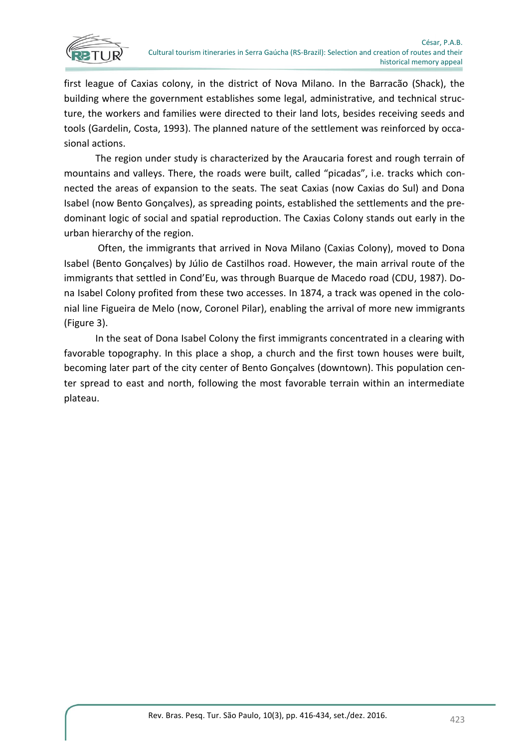

first league of Caxias colony, in the district of Nova Milano. In the Barracão (Shack), the building where the government establishes some legal, administrative, and technical structure, the workers and families were directed to their land lots, besides receiving seeds and tools (Gardelin, Costa, 1993). The planned nature of the settlement was reinforced by occasional actions.

The region under study is characterized by the Araucaria forest and rough terrain of mountains and valleys. There, the roads were built, called "picadas", i.e. tracks which connected the areas of expansion to the seats. The seat Caxias (now Caxias do Sul) and Dona Isabel (now Bento Gonçalves), as spreading points, established the settlements and the predominant logic of social and spatial reproduction. The Caxias Colony stands out early in the urban hierarchy of the region.

Often, the immigrants that arrived in Nova Milano (Caxias Colony), moved to Dona Isabel (Bento Gonçalves) by Júlio de Castilhos road. However, the main arrival route of the immigrants that settled in Cond'Eu, was through Buarque de Macedo road (CDU, 1987). Dona Isabel Colony profited from these two accesses. In 1874, a track was opened in the colonial line Figueira de Melo (now, Coronel Pilar), enabling the arrival of more new immigrants (Figure 3).

In the seat of Dona Isabel Colony the first immigrants concentrated in a clearing with favorable topography. In this place a shop, a church and the first town houses were built, becoming later part of the city center of Bento Gonçalves (downtown). This population center spread to east and north, following the most favorable terrain within an intermediate plateau.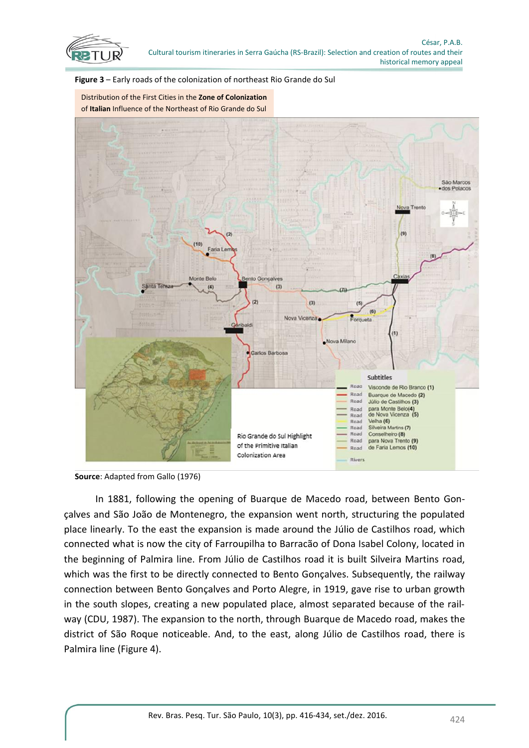





**Source**: Adapted from Gallo (1976)

In 1881, following the opening of Buarque de Macedo road, between Bento Gonçalves and São João de Montenegro, the expansion went north, structuring the populated place linearly. To the east the expansion is made around the Júlio de Castilhos road, which connected what is now the city of Farroupilha to Barracão of Dona Isabel Colony, located in the beginning of Palmira line. From Júlio de Castilhos road it is built Silveira Martins road, which was the first to be directly connected to Bento Gonçalves. Subsequently, the railway connection between Bento Gonçalves and Porto Alegre, in 1919, gave rise to urban growth in the south slopes, creating a new populated place, almost separated because of the railway (CDU, 1987). The expansion to the north, through Buarque de Macedo road, makes the district of São Roque noticeable. And, to the east, along Júlio de Castilhos road, there is Palmira line (Figure 4).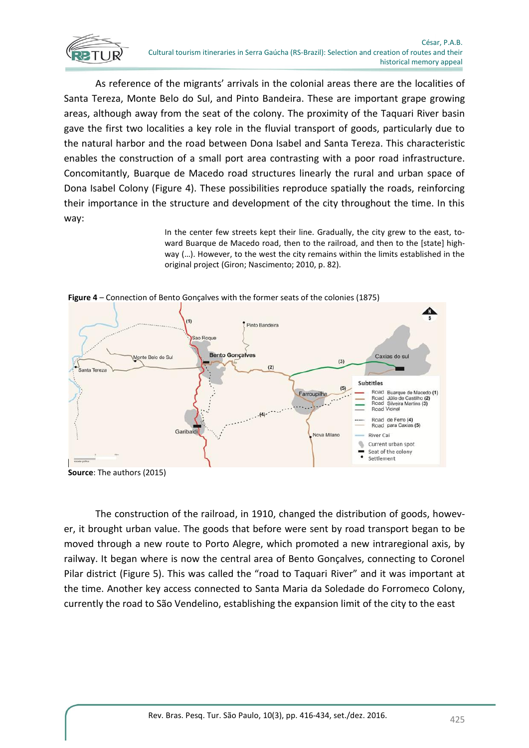

As reference of the migrants' arrivals in the colonial areas there are the localities of Santa Tereza, Monte Belo do Sul, and Pinto Bandeira. These are important grape growing areas, although away from the seat of the colony. The proximity of the Taquari River basin gave the first two localities a key role in the fluvial transport of goods, particularly due to the natural harbor and the road between Dona Isabel and Santa Tereza. This characteristic enables the construction of a small port area contrasting with a poor road infrastructure. Concomitantly, Buarque de Macedo road structures linearly the rural and urban space of Dona Isabel Colony (Figure 4). These possibilities reproduce spatially the roads, reinforcing their importance in the structure and development of the city throughout the time. In this way:

> In the center few streets kept their line. Gradually, the city grew to the east, toward Buarque de Macedo road, then to the railroad, and then to the [state] highway (…). However, to the west the city remains within the limits established in the original project (Giron; Nascimento; 2010, p. 82).



**Figure 4** – Connection of Bento Gonçalves with the former seats of the colonies (1875)

The construction of the railroad, in 1910, changed the distribution of goods, however, it brought urban value. The goods that before were sent by road transport began to be moved through a new route to Porto Alegre, which promoted a new intraregional axis, by railway. It began where is now the central area of Bento Gonçalves, connecting to Coronel Pilar district (Figure 5). This was called the "road to Taquari River" and it was important at the time. Another key access connected to Santa Maria da Soledade do Forromeco Colony, currently the road to São Vendelino, establishing the expansion limit of the city to the east

**Source**: The authors (2015)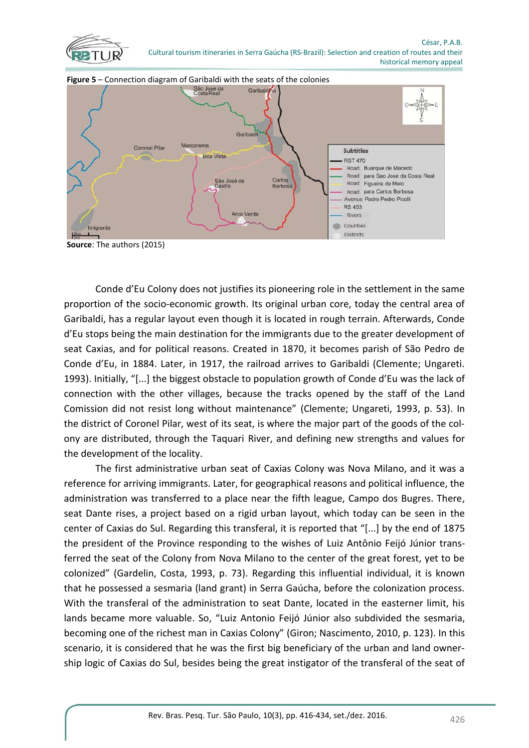





**Source**: The authors (2015)

Conde d'Eu Colony does not justifies its pioneering role in the settlement in the same proportion of the socio-economic growth. Its original urban core, today the central area of Garibaldi, has a regular layout even though it is located in rough terrain. Afterwards, Conde d'Eu stops being the main destination for the immigrants due to the greater development of seat Caxias, and for political reasons. Created in 1870, it becomes parish of São Pedro de Conde d'Eu, in 1884. Later, in 1917, the railroad arrives to Garibaldi (Clemente; Ungareti. 1993). Initially, "[...] the biggest obstacle to population growth of Conde d'Eu was the lack of connection with the other villages, because the tracks opened by the staff of the Land Comission did not resist long without maintenance" (Clemente; Ungareti, 1993, p. 53). In the district of Coronel Pilar, west of its seat, is where the major part of the goods of the colony are distributed, through the Taquari River, and defining new strengths and values for the development of the locality.

The first administrative urban seat of Caxias Colony was Nova Milano, and it was a reference for arriving immigrants. Later, for geographical reasons and political influence, the administration was transferred to a place near the fifth league, Campo dos Bugres. There, seat Dante rises, a project based on a rigid urban layout, which today can be seen in the center of Caxias do Sul. Regarding this transferal, it is reported that "[...] by the end of 1875 the president of the Province responding to the wishes of Luiz Antônio Feijó Júnior transferred the seat of the Colony from Nova Milano to the center of the great forest, yet to be colonized" (Gardelin, Costa, 1993, p. 73). Regarding this influential individual, it is known that he possessed a sesmaria (land grant) in Serra Gaúcha, before the colonization process. With the transferal of the administration to seat Dante, located in the easterner limit, his lands became more valuable. So, "Luiz Antonio Feijó Júnior also subdivided the sesmaria, becoming one of the richest man in Caxias Colony" (Giron; Nascimento, 2010, p. 123). In this scenario, it is considered that he was the first big beneficiary of the urban and land ownership logic of Caxias do Sul, besides being the great instigator of the transferal of the seat of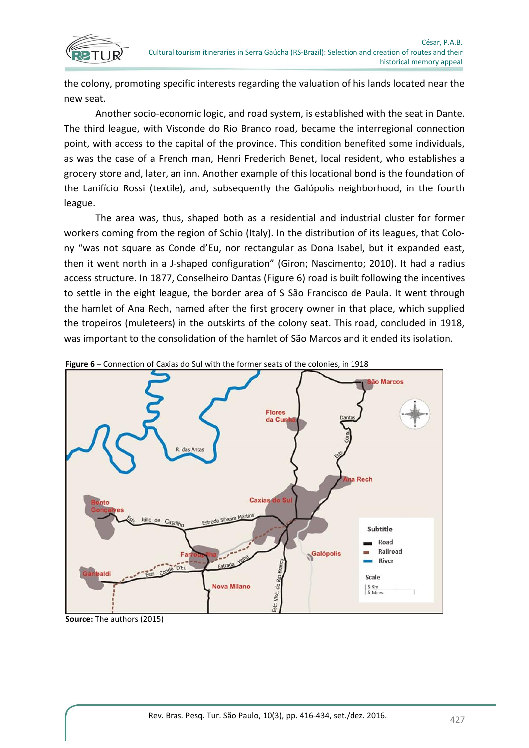

the colony, promoting specific interests regarding the valuation of his lands located near the new seat.

Another socio-economic logic, and road system, is established with the seat in Dante. The third league, with Visconde do Rio Branco road, became the interregional connection point, with access to the capital of the province. This condition benefited some individuals, as was the case of a French man, Henri Frederich Benet, local resident, who establishes a grocery store and, later, an inn. Another example of this locational bond is the foundation of the Lanifício Rossi (textile), and, subsequently the Galópolis neighborhood, in the fourth league.

The area was, thus, shaped both as a residential and industrial cluster for former workers coming from the region of Schio (Italy). In the distribution of its leagues, that Colony "was not square as Conde d'Eu, nor rectangular as Dona Isabel, but it expanded east, then it went north in a J-shaped configuration" (Giron; Nascimento; 2010). It had a radius access structure. In 1877, Conselheiro Dantas (Figure 6) road is built following the incentives to settle in the eight league, the border area of S São Francisco de Paula. It went through the hamlet of Ana Rech, named after the first grocery owner in that place, which supplied the tropeiros (muleteers) in the outskirts of the colony seat. This road, concluded in 1918, was important to the consolidation of the hamlet of São Marcos and it ended its isolation.



**Figure 6** – Connection of Caxias do Sul with the former seats of the colonies, in 1918

**Source:** The authors (2015)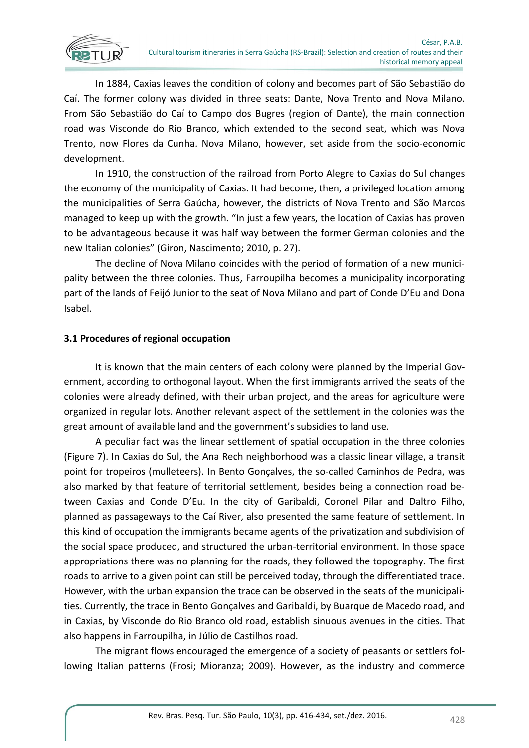

In 1884, Caxias leaves the condition of colony and becomes part of São Sebastião do Caí. The former colony was divided in three seats: Dante, Nova Trento and Nova Milano. From São Sebastião do Caí to Campo dos Bugres (region of Dante), the main connection road was Visconde do Rio Branco, which extended to the second seat, which was Nova Trento, now Flores da Cunha. Nova Milano, however, set aside from the socio-economic development.

In 1910, the construction of the railroad from Porto Alegre to Caxias do Sul changes the economy of the municipality of Caxias. It had become, then, a privileged location among the municipalities of Serra Gaúcha, however, the districts of Nova Trento and São Marcos managed to keep up with the growth. "In just a few years, the location of Caxias has proven to be advantageous because it was half way between the former German colonies and the new Italian colonies" (Giron, Nascimento; 2010, p. 27).

The decline of Nova Milano coincides with the period of formation of a new municipality between the three colonies. Thus, Farroupilha becomes a municipality incorporating part of the lands of Feijó Junior to the seat of Nova Milano and part of Conde D'Eu and Dona Isabel.

# **3.1 Procedures of regional occupation**

It is known that the main centers of each colony were planned by the Imperial Government, according to orthogonal layout. When the first immigrants arrived the seats of the colonies were already defined, with their urban project, and the areas for agriculture were organized in regular lots. Another relevant aspect of the settlement in the colonies was the great amount of available land and the government's subsidies to land use.

A peculiar fact was the linear settlement of spatial occupation in the three colonies (Figure 7). In Caxias do Sul, the Ana Rech neighborhood was a classic linear village, a transit point for tropeiros (mulleteers). In Bento Gonçalves, the so-called Caminhos de Pedra, was also marked by that feature of territorial settlement, besides being a connection road between Caxias and Conde D'Eu. In the city of Garibaldi, Coronel Pilar and Daltro Filho, planned as passageways to the Caí River, also presented the same feature of settlement. In this kind of occupation the immigrants became agents of the privatization and subdivision of the social space produced, and structured the urban-territorial environment. In those space appropriations there was no planning for the roads, they followed the topography. The first roads to arrive to a given point can still be perceived today, through the differentiated trace. However, with the urban expansion the trace can be observed in the seats of the municipalities. Currently, the trace in Bento Gonçalves and Garibaldi, by Buarque de Macedo road, and in Caxias, by Visconde do Rio Branco old road, establish sinuous avenues in the cities. That also happens in Farroupilha, in Júlio de Castilhos road.

The migrant flows encouraged the emergence of a society of peasants or settlers following Italian patterns (Frosi; Mioranza; 2009). However, as the industry and commerce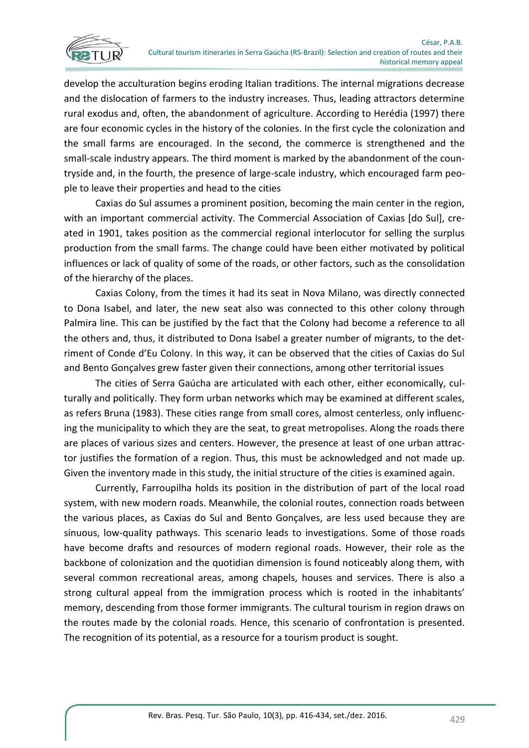

develop the acculturation begins eroding Italian traditions. The internal migrations decrease and the dislocation of farmers to the industry increases. Thus, leading attractors determine rural exodus and, often, the abandonment of agriculture. According to Herédia (1997) there are four economic cycles in the history of the colonies. In the first cycle the colonization and the small farms are encouraged. In the second, the commerce is strengthened and the small-scale industry appears. The third moment is marked by the abandonment of the countryside and, in the fourth, the presence of large-scale industry, which encouraged farm people to leave their properties and head to the cities

Caxias do Sul assumes a prominent position, becoming the main center in the region, with an important commercial activity. The Commercial Association of Caxias [do Sul], created in 1901, takes position as the commercial regional interlocutor for selling the surplus production from the small farms. The change could have been either motivated by political influences or lack of quality of some of the roads, or other factors, such as the consolidation of the hierarchy of the places.

Caxias Colony, from the times it had its seat in Nova Milano, was directly connected to Dona Isabel, and later, the new seat also was connected to this other colony through Palmira line. This can be justified by the fact that the Colony had become a reference to all the others and, thus, it distributed to Dona Isabel a greater number of migrants, to the detriment of Conde d'Eu Colony. In this way, it can be observed that the cities of Caxias do Sul and Bento Gonçalves grew faster given their connections, among other territorial issues

The cities of Serra Gaúcha are articulated with each other, either economically, culturally and politically. They form urban networks which may be examined at different scales, as refers Bruna (1983). These cities range from small cores, almost centerless, only influencing the municipality to which they are the seat, to great metropolises. Along the roads there are places of various sizes and centers. However, the presence at least of one urban attractor justifies the formation of a region. Thus, this must be acknowledged and not made up. Given the inventory made in this study, the initial structure of the cities is examined again.

Currently, Farroupilha holds its position in the distribution of part of the local road system, with new modern roads. Meanwhile, the colonial routes, connection roads between the various places, as Caxias do Sul and Bento Gonçalves, are less used because they are sinuous, low-quality pathways. This scenario leads to investigations. Some of those roads have become drafts and resources of modern regional roads. However, their role as the backbone of colonization and the quotidian dimension is found noticeably along them, with several common recreational areas, among chapels, houses and services. There is also a strong cultural appeal from the immigration process which is rooted in the inhabitants' memory, descending from those former immigrants. The cultural tourism in region draws on the routes made by the colonial roads. Hence, this scenario of confrontation is presented. The recognition of its potential, as a resource for a tourism product is sought.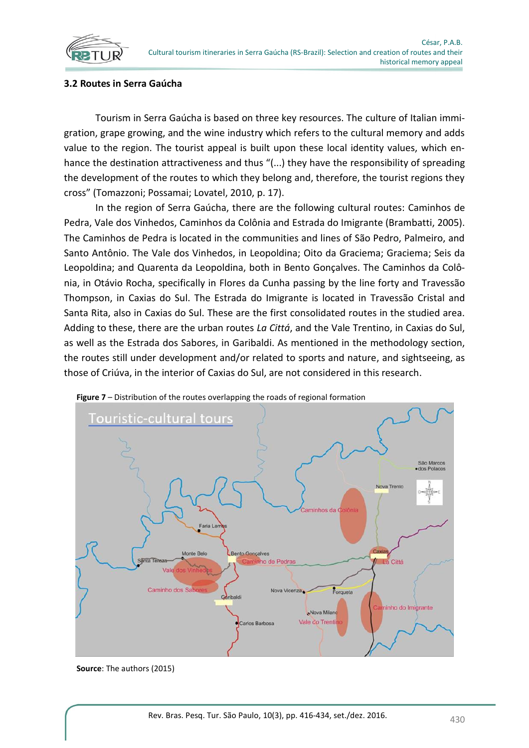

#### **3.2 Routes in Serra Gaúcha**

Tourism in Serra Gaúcha is based on three key resources. The culture of Italian immigration, grape growing, and the wine industry which refers to the cultural memory and adds value to the region. The tourist appeal is built upon these local identity values, which enhance the destination attractiveness and thus "(...) they have the responsibility of spreading the development of the routes to which they belong and, therefore, the tourist regions they cross" (Tomazzoni; Possamai; Lovatel, 2010, p. 17).

In the region of Serra Gaúcha, there are the following cultural routes: Caminhos de Pedra, Vale dos Vinhedos, Caminhos da Colônia and Estrada do Imigrante (Brambatti, 2005). The Caminhos de Pedra is located in the communities and lines of São Pedro, Palmeiro, and Santo Antônio. The Vale dos Vinhedos, in Leopoldina; Oito da Graciema; Graciema; Seis da Leopoldina; and Quarenta da Leopoldina, both in Bento Gonçalves. The Caminhos da Colônia, in Otávio Rocha, specifically in Flores da Cunha passing by the line forty and Travessão Thompson, in Caxias do Sul. The Estrada do Imigrante is located in Travessão Cristal and Santa Rita, also in Caxias do Sul. These are the first consolidated routes in the studied area. Adding to these, there are the urban routes *La Cittá*, and the Vale Trentino, in Caxias do Sul, as well as the Estrada dos Sabores, in Garibaldi. As mentioned in the methodology section, the routes still under development and/or related to sports and nature, and sightseeing, as those of Criúva, in the interior of Caxias do Sul, are not considered in this research.



**Figure 7** – Distribution of the routes overlapping the roads of regional formation

**Source**: The authors (2015)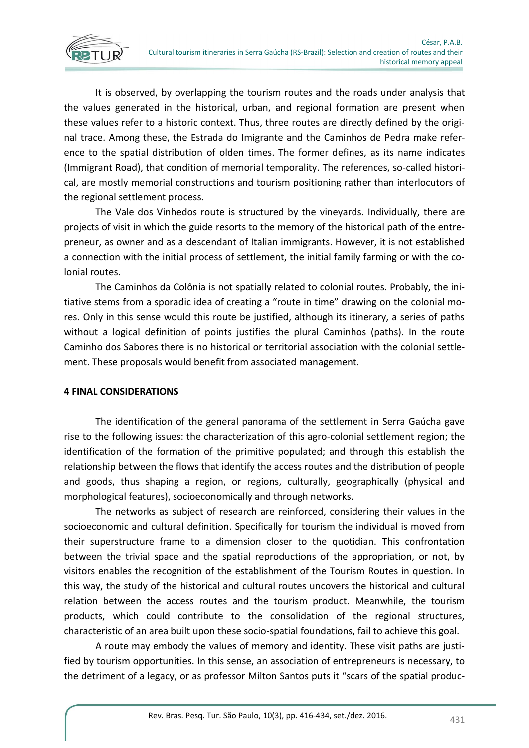

It is observed, by overlapping the tourism routes and the roads under analysis that the values generated in the historical, urban, and regional formation are present when these values refer to a historic context. Thus, three routes are directly defined by the original trace. Among these, the Estrada do Imigrante and the Caminhos de Pedra make reference to the spatial distribution of olden times. The former defines, as its name indicates (Immigrant Road), that condition of memorial temporality. The references, so-called historical, are mostly memorial constructions and tourism positioning rather than interlocutors of the regional settlement process.

The Vale dos Vinhedos route is structured by the vineyards. Individually, there are projects of visit in which the guide resorts to the memory of the historical path of the entrepreneur, as owner and as a descendant of Italian immigrants. However, it is not established a connection with the initial process of settlement, the initial family farming or with the colonial routes.

The Caminhos da Colônia is not spatially related to colonial routes. Probably, the initiative stems from a sporadic idea of creating a "route in time" drawing on the colonial mores. Only in this sense would this route be justified, although its itinerary, a series of paths without a logical definition of points justifies the plural Caminhos (paths). In the route Caminho dos Sabores there is no historical or territorial association with the colonial settlement. These proposals would benefit from associated management.

# **4 FINAL CONSIDERATIONS**

The identification of the general panorama of the settlement in Serra Gaúcha gave rise to the following issues: the characterization of this agro-colonial settlement region; the identification of the formation of the primitive populated; and through this establish the relationship between the flows that identify the access routes and the distribution of people and goods, thus shaping a region, or regions, culturally, geographically (physical and morphological features), socioeconomically and through networks.

The networks as subject of research are reinforced, considering their values in the socioeconomic and cultural definition. Specifically for tourism the individual is moved from their superstructure frame to a dimension closer to the quotidian. This confrontation between the trivial space and the spatial reproductions of the appropriation, or not, by visitors enables the recognition of the establishment of the Tourism Routes in question. In this way, the study of the historical and cultural routes uncovers the historical and cultural relation between the access routes and the tourism product. Meanwhile, the tourism products, which could contribute to the consolidation of the regional structures, characteristic of an area built upon these socio-spatial foundations, fail to achieve this goal.

A route may embody the values of memory and identity. These visit paths are justified by tourism opportunities. In this sense, an association of entrepreneurs is necessary, to the detriment of a legacy, or as professor Milton Santos puts it "scars of the spatial produc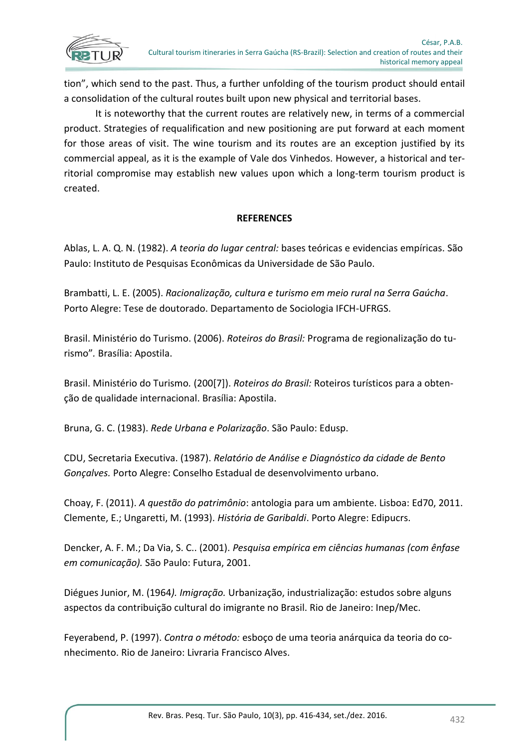tion", which send to the past. Thus, a further unfolding of the tourism product should entail a consolidation of the cultural routes built upon new physical and territorial bases.

It is noteworthy that the current routes are relatively new, in terms of a commercial product. Strategies of requalification and new positioning are put forward at each moment for those areas of visit. The wine tourism and its routes are an exception justified by its commercial appeal, as it is the example of Vale dos Vinhedos. However, a historical and territorial compromise may establish new values upon which a long-term tourism product is created.

# **REFERENCES**

Ablas, L. A. Q. N. (1982). *A teoria do lugar central:* bases teóricas e evidencias empíricas. São Paulo: Instituto de Pesquisas Econômicas da Universidade de São Paulo.

Brambatti, L. E. (2005). *Racionalização, cultura e turismo em meio rural na Serra Gaúcha*. Porto Alegre: Tese de doutorado. Departamento de Sociologia IFCH-UFRGS.

Brasil. Ministério do Turismo. (2006). *Roteiros do Brasil:* Programa de regionalização do turismo"*.* Brasília: Apostila.

Brasil. Ministério do Turismo*.* (200[7]). *Roteiros do Brasil:* Roteiros turísticos para a obtenção de qualidade internacional. Brasília: Apostila.

Bruna, G. C. (1983). *Rede Urbana e Polarização*. São Paulo: Edusp.

CDU, Secretaria Executiva. (1987). *Relatório de Análise e Diagnóstico da cidade de Bento Gonçalves.* Porto Alegre: Conselho Estadual de desenvolvimento urbano.

Choay, F. (2011). *A questão do patrimônio*: antologia para um ambiente. Lisboa: Ed70, 2011. Clemente, E.; Ungaretti, M. (1993). *História de Garibaldi*. Porto Alegre: Edipucrs.

Dencker, A. F. M.; Da Via, S. C.. (2001). *Pesquisa empírica em ciências humanas (com ênfase em comunicação).* São Paulo: Futura, 2001.

Diégues Junior, M. (1964*). Imigração.* Urbanização, industrialização: estudos sobre alguns aspectos da contribuição cultural do imigrante no Brasil. Rio de Janeiro: Inep/Mec.

Feyerabend, P. (1997). *Contra o método:* esboço de uma teoria anárquica da teoria do conhecimento. Rio de Janeiro: Livraria Francisco Alves.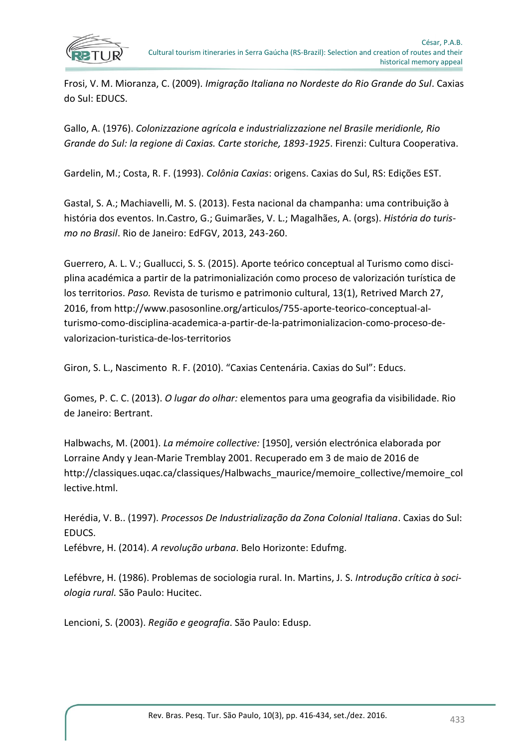

Frosi, V. M. Mioranza, C. (2009). *Imigração Italiana no Nordeste do Rio Grande do Sul*. Caxias do Sul: EDUCS.

Gallo, A. (1976). *Colonizzazione agrícola e industrializzazione nel Brasile meridionle, Rio Grande do Sul: la regione di Caxias. Carte storiche, 1893-1925*. Firenzi: Cultura Cooperativa.

Gardelin, M.; Costa, R. F. (1993). *Colônia Caxias*: origens. Caxias do Sul, RS: Edições EST.

Gastal, S. A.; Machiavelli, M. S. (2013). Festa nacional da champanha: uma contribuição à história dos eventos. In.Castro, G.; Guimarães, V. L.; Magalhães, A. (orgs). *História do turismo no Brasil*. Rio de Janeiro: EdFGV, 2013, 243-260.

Guerrero, A. L. V.; Guallucci, S. S. (2015). Aporte teórico conceptual al Turismo como disciplina académica a partir de la patrimonialización como proceso de valorización turística de los territorios. *Paso.* Revista de turismo e patrimonio cultural, 13(1), Retrived March 27, 2016, from http://www.pasosonline.org/articulos/755-aporte-teorico-conceptual-alturismo-como-disciplina-academica-a-partir-de-la-patrimonializacion-como-proceso-devalorizacion-turistica-de-los-territorios

Giron, S. L., Nascimento R. F. (2010). "Caxias Centenária. Caxias do Sul": Educs.

Gomes, P. C. C. (2013). *O lugar do olhar:* elementos para uma geografia da visibilidade. Rio de Janeiro: Bertrant.

Halbwachs, M. (2001). *La mémoire collective:* [1950], versión electrónica elaborada por Lorraine Andy y Jean-Marie Tremblay 2001. Recuperado em 3 de maio de 2016 de http://classiques.uqac.ca/classiques/Halbwachs\_maurice/memoire\_collective/memoire\_col lective.html.

Herédia, V. B.. (1997). *Processos De Industrialização da Zona Colonial Italiana*. Caxias do Sul: EDUCS. Lefébvre, H. (2014). *A revolução urbana*. Belo Horizonte: Edufmg.

Lefébvre, H. (1986). Problemas de sociologia rural. In. Martins, J. S. *Introdução crítica à sociologia rural.* São Paulo: Hucitec.

Lencioni, S. (2003). *Região e geografia*. São Paulo: Edusp.